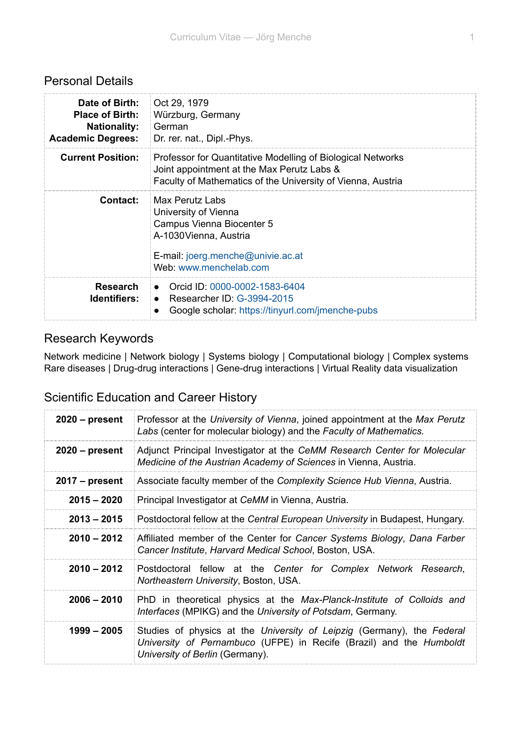## Personal Details

| Date of Birth:<br><b>Place of Birth:</b><br><b>Nationality:</b><br><b>Academic Degrees:</b> | Oct 29, 1979<br>Würzburg, Germany<br>∣ German<br>Dr. rer. nat., Dipl.-Phys.                                                                                              |
|---------------------------------------------------------------------------------------------|--------------------------------------------------------------------------------------------------------------------------------------------------------------------------|
| <b>Current Position:</b>                                                                    | Professor for Quantitative Modelling of Biological Networks<br>Joint appointment at the Max Perutz Labs &<br>Faculty of Mathematics of the University of Vienna, Austria |
| Contact:                                                                                    | Max Perutz Labs<br>University of Vienna<br>Campus Vienna Biocenter 5<br>A-1030 Vienna, Austria<br>E-mail: joerg.menche@univie.ac.at<br>Web: www.menchelab.com            |
| <b>Research</b><br><b>Identifiers:</b>                                                      | • Orcid ID: 0000-0002-1583-6404<br>• Researcher ID: $G-3994-2015$<br>Google scholar: https://tinyurl.com/jmenche-pubs                                                    |

## Research Keywords

Network medicine | Network biology | Systems biology | Computational biology | Complex systems Rare diseases | Drug-drug interactions | Gene-drug interactions | Virtual Reality data visualization

## Scientific Education and Career History

| $2020$ – present | Professor at the University of Vienna, joined appointment at the Max Perutz<br>Labs (center for molecular biology) and the Faculty of Mathematics.                               |
|------------------|----------------------------------------------------------------------------------------------------------------------------------------------------------------------------------|
| $2020$ – present | Adjunct Principal Investigator at the CeMM Research Center for Molecular<br>Medicine of the Austrian Academy of Sciences in Vienna, Austria.                                     |
| $2017$ – present | Associate faculty member of the Complexity Science Hub Vienna, Austria.                                                                                                          |
| $2015 - 2020$    | Principal Investigator at CeMM in Vienna, Austria.                                                                                                                               |
| $2013 - 2015$    | Postdoctoral fellow at the Central European University in Budapest, Hungary.                                                                                                     |
| $2010 - 2012$    | Affiliated member of the Center for Cancer Systems Biology, Dana Farber<br>Cancer Institute, Harvard Medical School, Boston, USA.                                                |
| $2010 - 2012$    | Postdoctoral fellow at the Center for Complex Network Research,<br>Northeastern University, Boston, USA.                                                                         |
| $2006 - 2010$    | PhD in theoretical physics at the Max-Planck-Institute of Colloids and<br>Interfaces (MPIKG) and the University of Potsdam, Germany.                                             |
| 1999 – 2005      | Studies of physics at the University of Leipzig (Germany), the Federal<br>University of Pernambuco (UFPE) in Recife (Brazil) and the Humboldt<br>University of Berlin (Germany). |